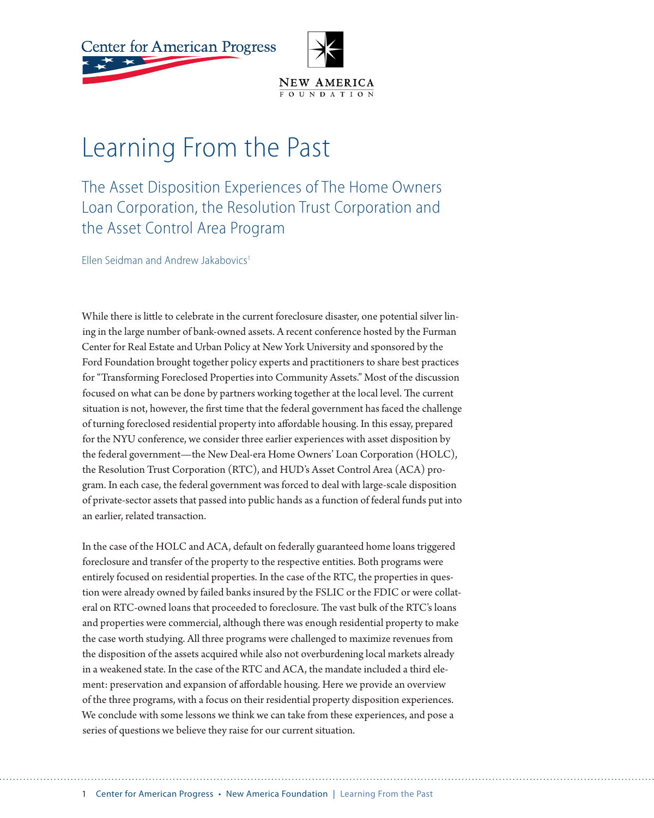**Center for American Progress** 



## Learning From the Past

The Asset Disposition Experiences of The Home Owners Loan Corporation, the Resolution Trust Corporation and the Asset Control Area Program

Ellen Seidman and Andrew Jakabovics<sup>1</sup>

While there is little to celebrate in the current foreclosure disaster, one potential silver lining in the large number of bank-owned assets. A recent conference hosted by the Furman Center for Real Estate and Urban Policy at New York University and sponsored by the Ford Foundation brought together policy experts and practitioners to share best practices for "Transforming Foreclosed Properties into Community Assets." Most of the discussion focused on what can be done by partners working together at the local level. The current situation is not, however, the first time that the federal government has faced the challenge of turning foreclosed residential property into affordable housing. In this essay, prepared for the NYU conference, we consider three earlier experiences with asset disposition by the federal government—the New Deal-era Home Owners' Loan Corporation (HOLC), the Resolution Trust Corporation (RTC), and HUD's Asset Control Area (ACA) program. In each case, the federal government was forced to deal with large-scale disposition of private-sector assets that passed into public hands as a function of federal funds put into an earlier, related transaction.

In the case of the HOLC and ACA, default on federally guaranteed home loans triggered foreclosure and transfer of the property to the respective entities. Both programs were entirely focused on residential properties. In the case of the RTC, the properties in question were already owned by failed banks insured by the FSLIC or the FDIC or were collateral on RTC-owned loans that proceeded to foreclosure. The vast bulk of the RTC's loans and properties were commercial, although there was enough residential property to make the case worth studying. All three programs were challenged to maximize revenues from the disposition of the assets acquired while also not overburdening local markets already in a weakened state. In the case of the RTC and ACA, the mandate included a third element: preservation and expansion of affordable housing. Here we provide an overview of the three programs, with a focus on their residential property disposition experiences. We conclude with some lessons we think we can take from these experiences, and pose a series of questions we believe they raise for our current situation.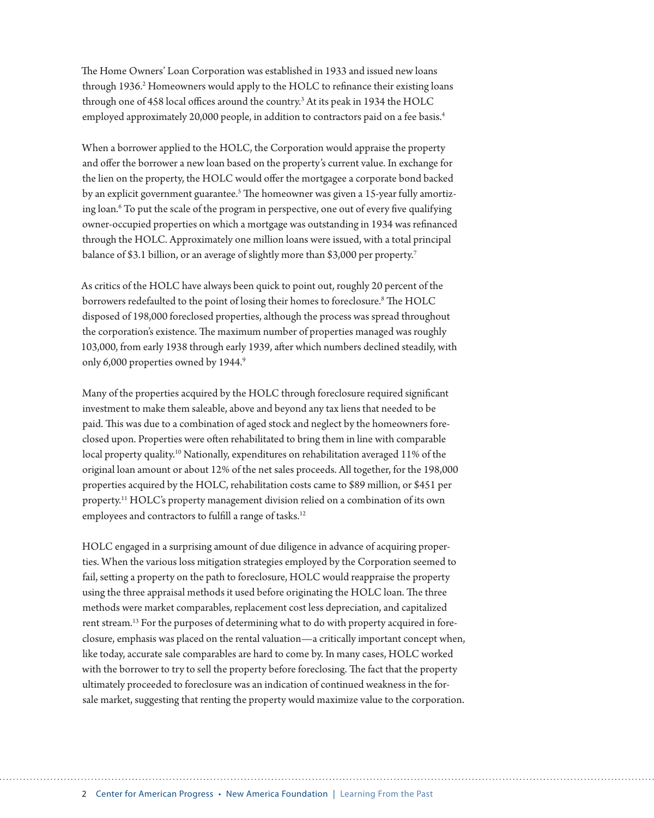The Home Owners' Loan Corporation was established in 1933 and issued new loans through 1936.<sup>2</sup> Homeowners would apply to the HOLC to refinance their existing loans through one of 458 local offices around the country.<sup>3</sup> At its peak in 1934 the HOLC employed approximately 20,000 people, in addition to contractors paid on a fee basis.<sup>4</sup>

When a borrower applied to the HOLC, the Corporation would appraise the property and offer the borrower a new loan based on the property's current value. In exchange for the lien on the property, the HOLC would offer the mortgagee a corporate bond backed by an explicit government guarantee.<sup>5</sup> The homeowner was given a 15-year fully amortizing loan.<sup>6</sup> To put the scale of the program in perspective, one out of every five qualifying owner-occupied properties on which a mortgage was outstanding in 1934 was refinanced through the HOLC. Approximately one million loans were issued, with a total principal balance of \$3.1 billion, or an average of slightly more than \$3,000 per property.<sup>7</sup>

As critics of the HOLC have always been quick to point out, roughly 20 percent of the borrowers redefaulted to the point of losing their homes to foreclosure.<sup>8</sup> The HOLC disposed of 198,000 foreclosed properties, although the process was spread throughout the corporation's existence. The maximum number of properties managed was roughly 103,000, from early 1938 through early 1939, after which numbers declined steadily, with only 6,000 properties owned by 1944.9

Many of the properties acquired by the HOLC through foreclosure required significant investment to make them saleable, above and beyond any tax liens that needed to be paid. This was due to a combination of aged stock and neglect by the homeowners foreclosed upon. Properties were often rehabilitated to bring them in line with comparable local property quality.<sup>10</sup> Nationally, expenditures on rehabilitation averaged 11% of the original loan amount or about 12% of the net sales proceeds. All together, for the 198,000 properties acquired by the HOLC, rehabilitation costs came to \$89 million, or \$451 per property.11 HOLC's property management division relied on a combination of its own employees and contractors to fulfill a range of tasks.<sup>12</sup>

HOLC engaged in a surprising amount of due diligence in advance of acquiring properties. When the various loss mitigation strategies employed by the Corporation seemed to fail, setting a property on the path to foreclosure, HOLC would reappraise the property using the three appraisal methods it used before originating the HOLC loan. The three methods were market comparables, replacement cost less depreciation, and capitalized rent stream.<sup>13</sup> For the purposes of determining what to do with property acquired in foreclosure, emphasis was placed on the rental valuation—a critically important concept when, like today, accurate sale comparables are hard to come by. In many cases, HOLC worked with the borrower to try to sell the property before foreclosing. The fact that the property ultimately proceeded to foreclosure was an indication of continued weakness in the forsale market, suggesting that renting the property would maximize value to the corporation.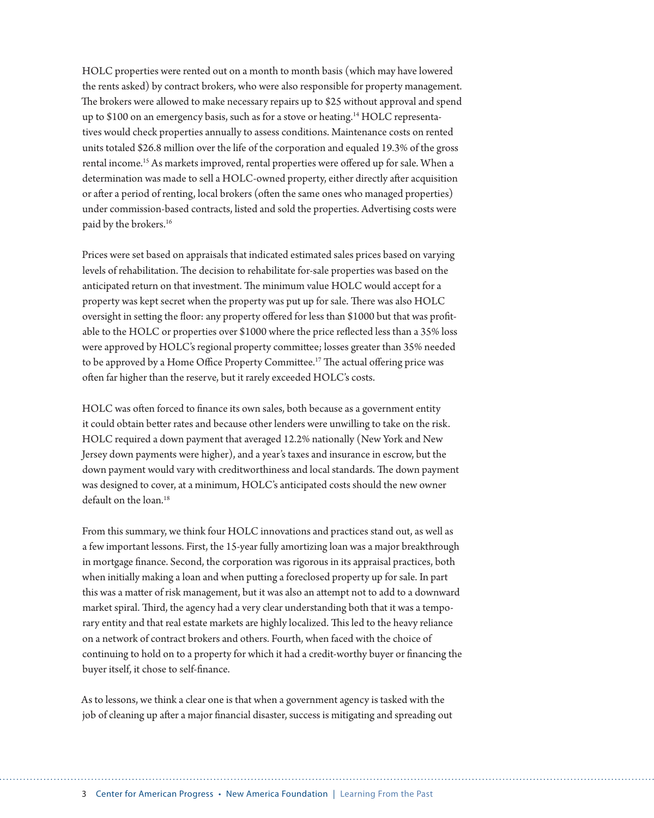HOLC properties were rented out on a month to month basis (which may have lowered the rents asked) by contract brokers, who were also responsible for property management. The brokers were allowed to make necessary repairs up to \$25 without approval and spend up to \$100 on an emergency basis, such as for a stove or heating.<sup>14</sup> HOLC representatives would check properties annually to assess conditions. Maintenance costs on rented units totaled \$26.8 million over the life of the corporation and equaled 19.3% of the gross rental income.<sup>15</sup> As markets improved, rental properties were offered up for sale. When a determination was made to sell a HOLC-owned property, either directly after acquisition or after a period of renting, local brokers (often the same ones who managed properties) under commission-based contracts, listed and sold the properties. Advertising costs were paid by the brokers.<sup>16</sup>

Prices were set based on appraisals that indicated estimated sales prices based on varying levels of rehabilitation. The decision to rehabilitate for-sale properties was based on the anticipated return on that investment. The minimum value HOLC would accept for a property was kept secret when the property was put up for sale. There was also HOLC oversight in setting the floor: any property offered for less than \$1000 but that was profitable to the HOLC or properties over \$1000 where the price reflected less than a 35% loss were approved by HOLC's regional property committee; losses greater than 35% needed to be approved by a Home Office Property Committee.<sup>17</sup> The actual offering price was often far higher than the reserve, but it rarely exceeded HOLC's costs.

HOLC was often forced to finance its own sales, both because as a government entity it could obtain better rates and because other lenders were unwilling to take on the risk. HOLC required a down payment that averaged 12.2% nationally (New York and New Jersey down payments were higher), and a year's taxes and insurance in escrow, but the down payment would vary with creditworthiness and local standards. The down payment was designed to cover, at a minimum, HOLC's anticipated costs should the new owner  $\det$ ault on the loan  $^{18}$ 

From this summary, we think four HOLC innovations and practices stand out, as well as a few important lessons. First, the 15-year fully amortizing loan was a major breakthrough in mortgage finance. Second, the corporation was rigorous in its appraisal practices, both when initially making a loan and when putting a foreclosed property up for sale. In part this was a matter of risk management, but it was also an attempt not to add to a downward market spiral. Third, the agency had a very clear understanding both that it was a temporary entity and that real estate markets are highly localized. This led to the heavy reliance on a network of contract brokers and others. Fourth, when faced with the choice of continuing to hold on to a property for which it had a credit-worthy buyer or financing the buyer itself, it chose to self-finance.

As to lessons, we think a clear one is that when a government agency is tasked with the job of cleaning up after a major financial disaster, success is mitigating and spreading out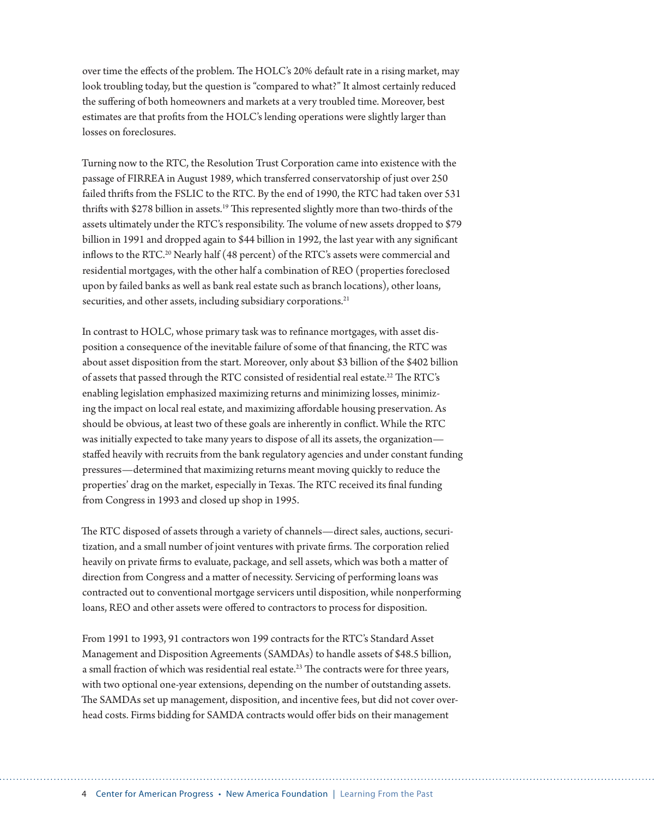over time the effects of the problem. The HOLC's 20% default rate in a rising market, may look troubling today, but the question is "compared to what?" It almost certainly reduced the suffering of both homeowners and markets at a very troubled time. Moreover, best estimates are that profits from the HOLC's lending operations were slightly larger than losses on foreclosures.

Turning now to the RTC, the Resolution Trust Corporation came into existence with the passage of FIRREA in August 1989, which transferred conservatorship of just over 250 failed thrifts from the FSLIC to the RTC. By the end of 1990, the RTC had taken over 531 thrifts with \$278 billion in assets.<sup>19</sup> This represented slightly more than two-thirds of the assets ultimately under the RTC's responsibility. The volume of new assets dropped to \$79 billion in 1991 and dropped again to \$44 billion in 1992, the last year with any significant inflows to the RTC.<sup>20</sup> Nearly half (48 percent) of the RTC's assets were commercial and residential mortgages, with the other half a combination of REO (properties foreclosed upon by failed banks as well as bank real estate such as branch locations), other loans, securities, and other assets, including subsidiary corporations.<sup>21</sup>

In contrast to HOLC, whose primary task was to refinance mortgages, with asset disposition a consequence of the inevitable failure of some of that financing, the RTC was about asset disposition from the start. Moreover, only about \$3 billion of the \$402 billion of assets that passed through the RTC consisted of residential real estate.<sup>22</sup> The RTC's enabling legislation emphasized maximizing returns and minimizing losses, minimizing the impact on local real estate, and maximizing affordable housing preservation. As should be obvious, at least two of these goals are inherently in conflict. While the RTC was initially expected to take many years to dispose of all its assets, the organization staffed heavily with recruits from the bank regulatory agencies and under constant funding pressures—determined that maximizing returns meant moving quickly to reduce the properties' drag on the market, especially in Texas. The RTC received its final funding from Congress in 1993 and closed up shop in 1995.

The RTC disposed of assets through a variety of channels—direct sales, auctions, securitization, and a small number of joint ventures with private firms. The corporation relied heavily on private firms to evaluate, package, and sell assets, which was both a matter of direction from Congress and a matter of necessity. Servicing of performing loans was contracted out to conventional mortgage servicers until disposition, while nonperforming loans, REO and other assets were offered to contractors to process for disposition.

From 1991 to 1993, 91 contractors won 199 contracts for the RTC's Standard Asset Management and Disposition Agreements (SAMDAs) to handle assets of \$48.5 billion, a small fraction of which was residential real estate.<sup>23</sup> The contracts were for three years, with two optional one-year extensions, depending on the number of outstanding assets. The SAMDAs set up management, disposition, and incentive fees, but did not cover overhead costs. Firms bidding for SAMDA contracts would offer bids on their management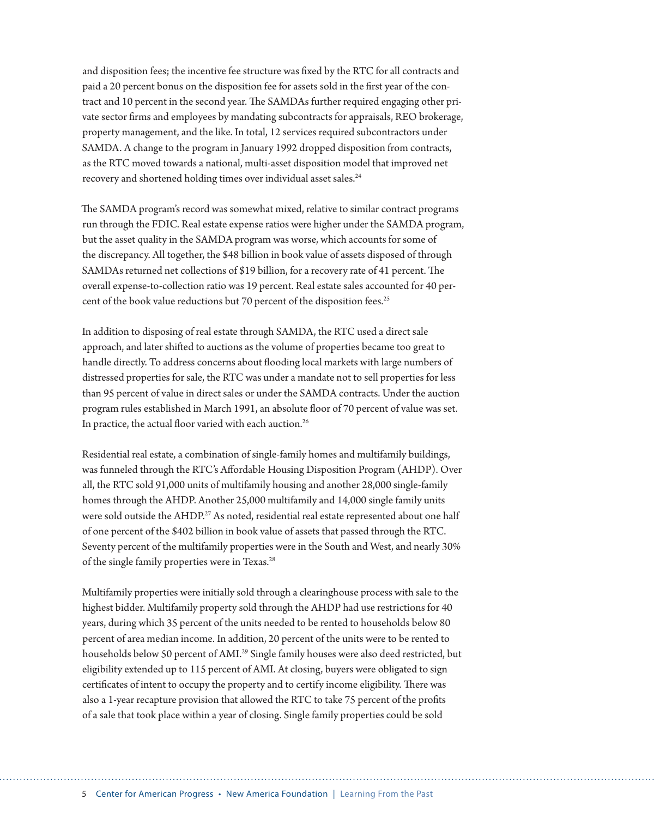and disposition fees; the incentive fee structure was fixed by the RTC for all contracts and paid a 20 percent bonus on the disposition fee for assets sold in the first year of the contract and 10 percent in the second year. The SAMDAs further required engaging other private sector firms and employees by mandating subcontracts for appraisals, REO brokerage, property management, and the like. In total, 12 services required subcontractors under SAMDA. A change to the program in January 1992 dropped disposition from contracts, as the RTC moved towards a national, multi-asset disposition model that improved net recovery and shortened holding times over individual asset sales.<sup>24</sup>

The SAMDA program's record was somewhat mixed, relative to similar contract programs run through the FDIC. Real estate expense ratios were higher under the SAMDA program, but the asset quality in the SAMDA program was worse, which accounts for some of the discrepancy. All together, the \$48 billion in book value of assets disposed of through SAMDAs returned net collections of \$19 billion, for a recovery rate of 41 percent. The overall expense-to-collection ratio was 19 percent. Real estate sales accounted for 40 percent of the book value reductions but 70 percent of the disposition fees.<sup>25</sup>

In addition to disposing of real estate through SAMDA, the RTC used a direct sale approach, and later shifted to auctions as the volume of properties became too great to handle directly. To address concerns about flooding local markets with large numbers of distressed properties for sale, the RTC was under a mandate not to sell properties for less than 95 percent of value in direct sales or under the SAMDA contracts. Under the auction program rules established in March 1991, an absolute floor of 70 percent of value was set. In practice, the actual floor varied with each auction.<sup>26</sup>

Residential real estate, a combination of single-family homes and multifamily buildings, was funneled through the RTC's Affordable Housing Disposition Program (AHDP). Over all, the RTC sold 91,000 units of multifamily housing and another 28,000 single-family homes through the AHDP. Another 25,000 multifamily and 14,000 single family units were sold outside the AHDP.<sup>27</sup> As noted, residential real estate represented about one half of one percent of the \$402 billion in book value of assets that passed through the RTC. Seventy percent of the multifamily properties were in the South and West, and nearly 30% of the single family properties were in Texas.<sup>28</sup>

Multifamily properties were initially sold through a clearinghouse process with sale to the highest bidder. Multifamily property sold through the AHDP had use restrictions for 40 years, during which 35 percent of the units needed to be rented to households below 80 percent of area median income. In addition, 20 percent of the units were to be rented to households below 50 percent of AMI.<sup>29</sup> Single family houses were also deed restricted, but eligibility extended up to 115 percent of AMI. At closing, buyers were obligated to sign certificates of intent to occupy the property and to certify income eligibility. There was also a 1-year recapture provision that allowed the RTC to take 75 percent of the profits of a sale that took place within a year of closing. Single family properties could be sold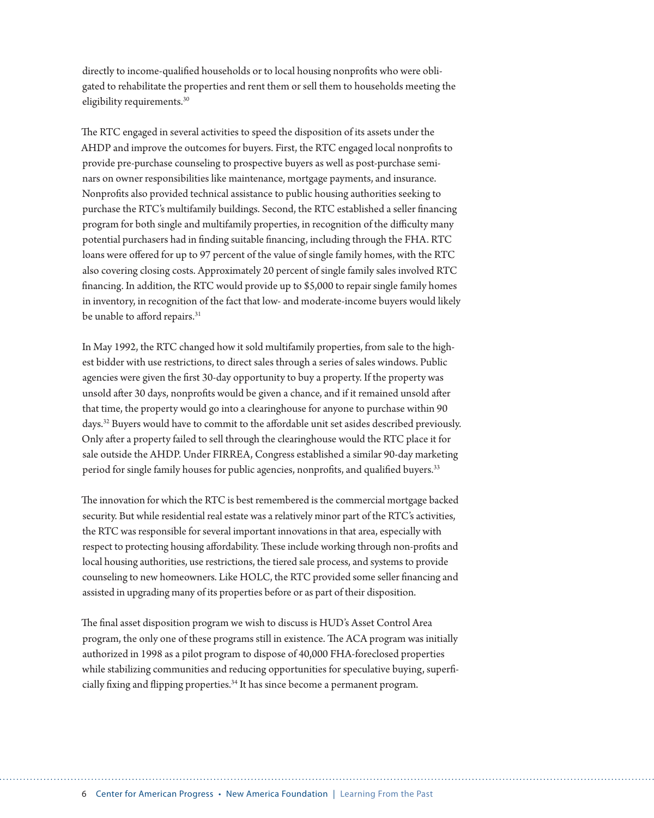directly to income-qualified households or to local housing nonprofits who were obligated to rehabilitate the properties and rent them or sell them to households meeting the eligibility requirements.<sup>30</sup>

The RTC engaged in several activities to speed the disposition of its assets under the AHDP and improve the outcomes for buyers. First, the RTC engaged local nonprofits to provide pre-purchase counseling to prospective buyers as well as post-purchase seminars on owner responsibilities like maintenance, mortgage payments, and insurance. Nonprofits also provided technical assistance to public housing authorities seeking to purchase the RTC's multifamily buildings. Second, the RTC established a seller financing program for both single and multifamily properties, in recognition of the difficulty many potential purchasers had in finding suitable financing, including through the FHA. RTC loans were offered for up to 97 percent of the value of single family homes, with the RTC also covering closing costs. Approximately 20 percent of single family sales involved RTC financing. In addition, the RTC would provide up to \$5,000 to repair single family homes in inventory, in recognition of the fact that low- and moderate-income buyers would likely be unable to afford repairs.<sup>31</sup>

In May 1992, the RTC changed how it sold multifamily properties, from sale to the highest bidder with use restrictions, to direct sales through a series of sales windows. Public agencies were given the first 30-day opportunity to buy a property. If the property was unsold after 30 days, nonprofits would be given a chance, and if it remained unsold after that time, the property would go into a clearinghouse for anyone to purchase within 90 days.<sup>32</sup> Buyers would have to commit to the affordable unit set asides described previously. Only after a property failed to sell through the clearinghouse would the RTC place it for sale outside the AHDP. Under FIRREA, Congress established a similar 90-day marketing period for single family houses for public agencies, nonprofits, and qualified buyers.<sup>33</sup>

The innovation for which the RTC is best remembered is the commercial mortgage backed security. But while residential real estate was a relatively minor part of the RTC's activities, the RTC was responsible for several important innovations in that area, especially with respect to protecting housing affordability. These include working through non-profits and local housing authorities, use restrictions, the tiered sale process, and systems to provide counseling to new homeowners. Like HOLC, the RTC provided some seller financing and assisted in upgrading many of its properties before or as part of their disposition.

The final asset disposition program we wish to discuss is HUD's Asset Control Area program, the only one of these programs still in existence. The ACA program was initially authorized in 1998 as a pilot program to dispose of 40,000 FHA-foreclosed properties while stabilizing communities and reducing opportunities for speculative buying, superficially fixing and flipping properties.<sup>34</sup> It has since become a permanent program.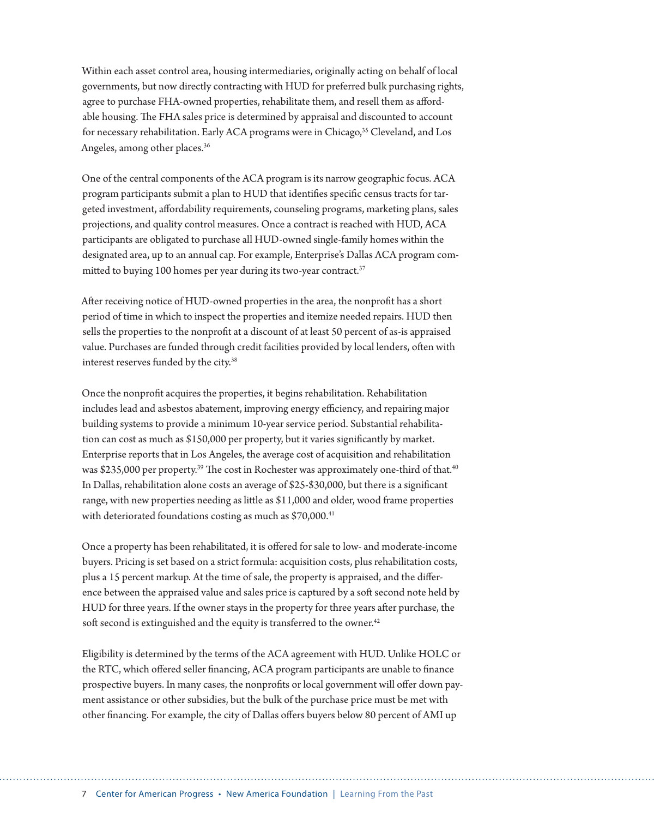Within each asset control area, housing intermediaries, originally acting on behalf of local governments, but now directly contracting with HUD for preferred bulk purchasing rights, agree to purchase FHA-owned properties, rehabilitate them, and resell them as affordable housing. The FHA sales price is determined by appraisal and discounted to account for necessary rehabilitation. Early ACA programs were in Chicago,<sup>35</sup> Cleveland, and Los Angeles, among other places.36

One of the central components of the ACA program is its narrow geographic focus. ACA program participants submit a plan to HUD that identifies specific census tracts for targeted investment, affordability requirements, counseling programs, marketing plans, sales projections, and quality control measures. Once a contract is reached with HUD, ACA participants are obligated to purchase all HUD-owned single-family homes within the designated area, up to an annual cap. For example, Enterprise's Dallas ACA program committed to buying 100 homes per year during its two-year contract. $37$ 

After receiving notice of HUD-owned properties in the area, the nonprofit has a short period of time in which to inspect the properties and itemize needed repairs. HUD then sells the properties to the nonprofit at a discount of at least 50 percent of as-is appraised value. Purchases are funded through credit facilities provided by local lenders, often with interest reserves funded by the city.<sup>38</sup>

Once the nonprofit acquires the properties, it begins rehabilitation. Rehabilitation includes lead and asbestos abatement, improving energy efficiency, and repairing major building systems to provide a minimum 10-year service period. Substantial rehabilitation can cost as much as \$150,000 per property, but it varies significantly by market. Enterprise reports that in Los Angeles, the average cost of acquisition and rehabilitation was \$235,000 per property.<sup>39</sup> The cost in Rochester was approximately one-third of that.<sup>40</sup> In Dallas, rehabilitation alone costs an average of \$25-\$30,000, but there is a significant range, with new properties needing as little as \$11,000 and older, wood frame properties with deteriorated foundations costing as much as \$70,000.<sup>41</sup>

Once a property has been rehabilitated, it is offered for sale to low- and moderate-income buyers. Pricing is set based on a strict formula: acquisition costs, plus rehabilitation costs, plus a 15 percent markup. At the time of sale, the property is appraised, and the difference between the appraised value and sales price is captured by a soft second note held by HUD for three years. If the owner stays in the property for three years after purchase, the soft second is extinguished and the equity is transferred to the owner.<sup>42</sup>

Eligibility is determined by the terms of the ACA agreement with HUD. Unlike HOLC or the RTC, which offered seller financing, ACA program participants are unable to finance prospective buyers. In many cases, the nonprofits or local government will offer down payment assistance or other subsidies, but the bulk of the purchase price must be met with other financing. For example, the city of Dallas offers buyers below 80 percent of AMI up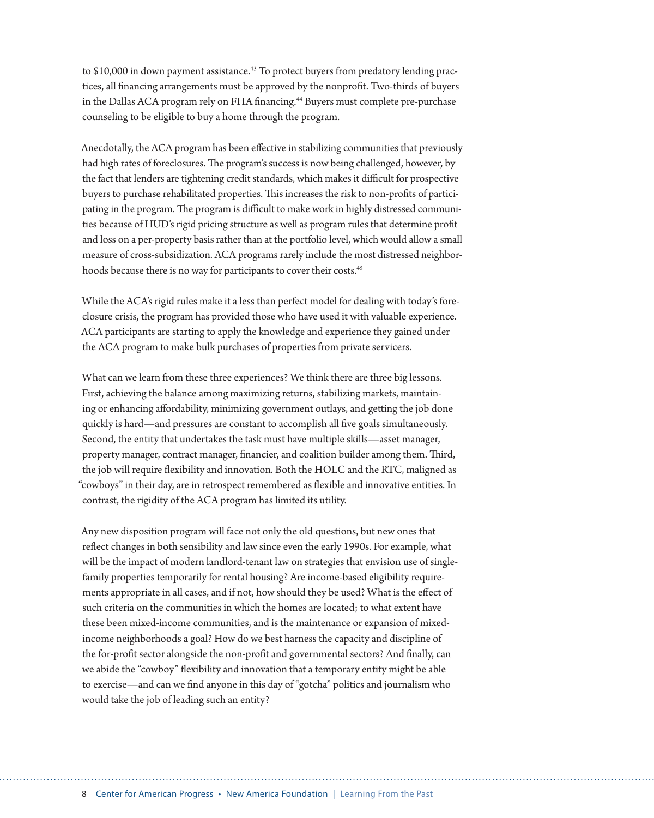to  $$10,000$  in down payment assistance.<sup>43</sup> To protect buyers from predatory lending practices, all financing arrangements must be approved by the nonprofit. Two-thirds of buyers in the Dallas ACA program rely on FHA financing.<sup>44</sup> Buyers must complete pre-purchase counseling to be eligible to buy a home through the program.

Anecdotally, the ACA program has been effective in stabilizing communities that previously had high rates of foreclosures. The program's success is now being challenged, however, by the fact that lenders are tightening credit standards, which makes it difficult for prospective buyers to purchase rehabilitated properties. This increases the risk to non-profits of participating in the program. The program is difficult to make work in highly distressed communities because of HUD's rigid pricing structure as well as program rules that determine profit and loss on a per-property basis rather than at the portfolio level, which would allow a small measure of cross-subsidization. ACA programs rarely include the most distressed neighborhoods because there is no way for participants to cover their costs.<sup>45</sup>

While the ACA's rigid rules make it a less than perfect model for dealing with today's foreclosure crisis, the program has provided those who have used it with valuable experience. ACA participants are starting to apply the knowledge and experience they gained under the ACA program to make bulk purchases of properties from private servicers.

What can we learn from these three experiences? We think there are three big lessons. First, achieving the balance among maximizing returns, stabilizing markets, maintaining or enhancing affordability, minimizing government outlays, and getting the job done quickly is hard—and pressures are constant to accomplish all five goals simultaneously. Second, the entity that undertakes the task must have multiple skills—asset manager, property manager, contract manager, financier, and coalition builder among them. Third, the job will require flexibility and innovation. Both the HOLC and the RTC, maligned as "cowboys" in their day, are in retrospect remembered as flexible and innovative entities. In contrast, the rigidity of the ACA program has limited its utility.

Any new disposition program will face not only the old questions, but new ones that reflect changes in both sensibility and law since even the early 1990s. For example, what will be the impact of modern landlord-tenant law on strategies that envision use of singlefamily properties temporarily for rental housing? Are income-based eligibility requirements appropriate in all cases, and if not, how should they be used? What is the effect of such criteria on the communities in which the homes are located; to what extent have these been mixed-income communities, and is the maintenance or expansion of mixedincome neighborhoods a goal? How do we best harness the capacity and discipline of the for-profit sector alongside the non-profit and governmental sectors? And finally, can we abide the "cowboy" flexibility and innovation that a temporary entity might be able to exercise—and can we find anyone in this day of "gotcha" politics and journalism who would take the job of leading such an entity?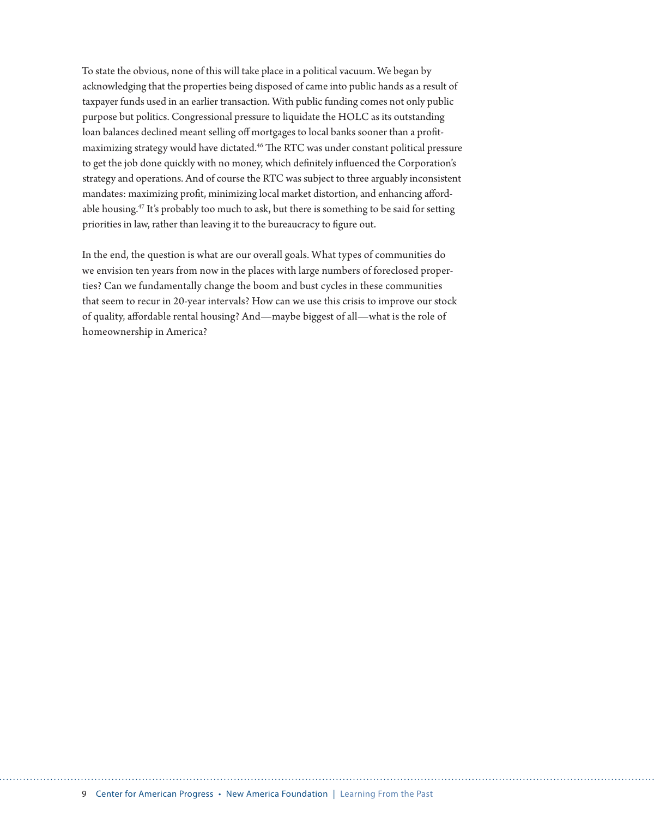To state the obvious, none of this will take place in a political vacuum. We began by acknowledging that the properties being disposed of came into public hands as a result of taxpayer funds used in an earlier transaction. With public funding comes not only public purpose but politics. Congressional pressure to liquidate the HOLC as its outstanding loan balances declined meant selling off mortgages to local banks sooner than a profitmaximizing strategy would have dictated.<sup>46</sup> The RTC was under constant political pressure to get the job done quickly with no money, which definitely influenced the Corporation's strategy and operations. And of course the RTC was subject to three arguably inconsistent mandates: maximizing profit, minimizing local market distortion, and enhancing affordable housing.<sup>47</sup> It's probably too much to ask, but there is something to be said for setting priorities in law, rather than leaving it to the bureaucracy to figure out.

In the end, the question is what are our overall goals. What types of communities do we envision ten years from now in the places with large numbers of foreclosed properties? Can we fundamentally change the boom and bust cycles in these communities that seem to recur in 20-year intervals? How can we use this crisis to improve our stock of quality, affordable rental housing? And—maybe biggest of all—what is the role of homeownership in America?